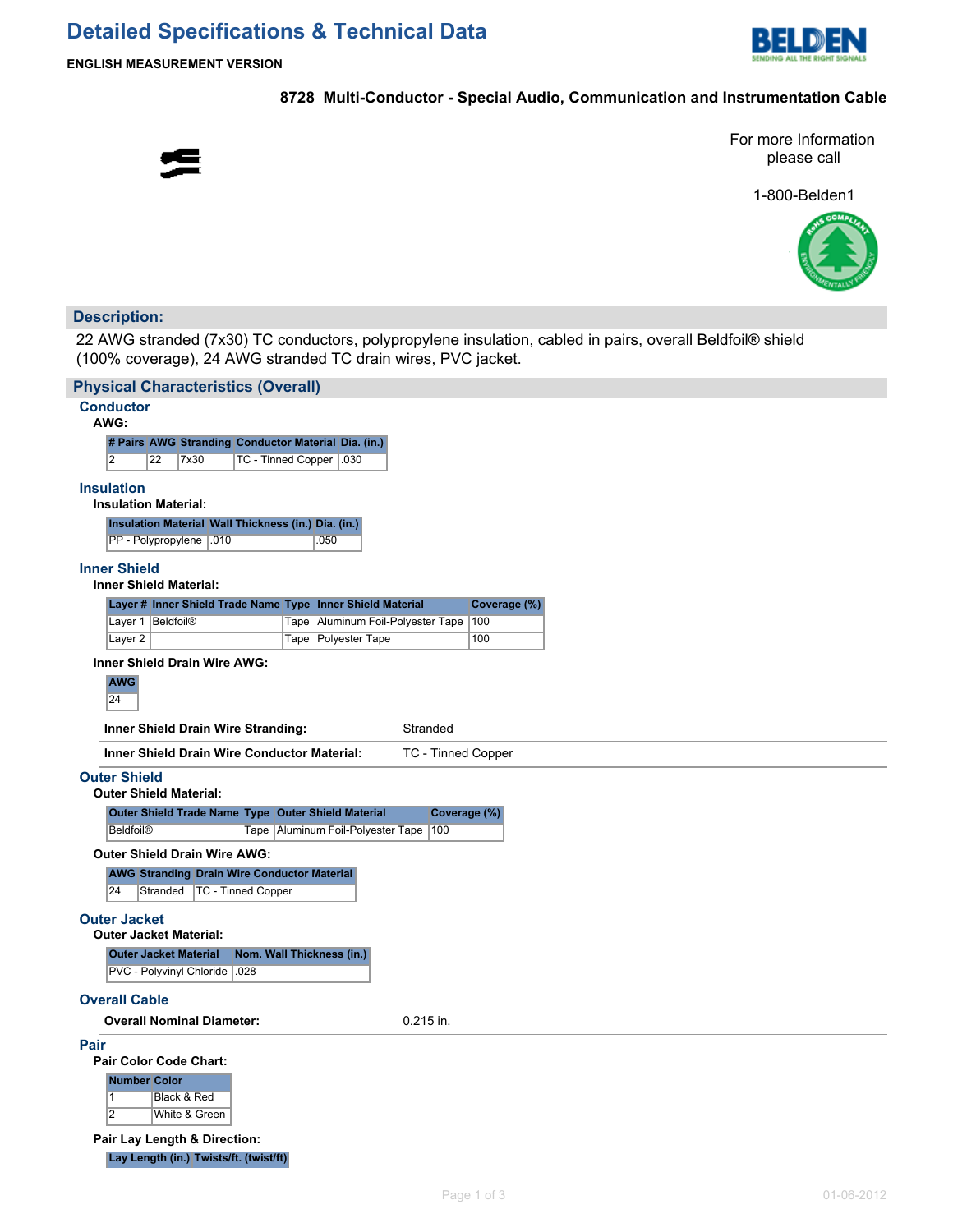

**ENGLISH MEASUREMENT VERSION**

## **8728 Multi-Conductor - Special Audio, Communication and Instrumentation Cable**



For more Information please call

1-800-Belden1



## **Description:**

22 AWG stranded (7x30) TC conductors, polypropylene insulation, cabled in pairs, overall Beldfoil® shield (100% coverage), 24 AWG stranded TC drain wires, PVC jacket.

| <b>Conductor</b>                                 |                                                                                     | <b>Physical Characteristics (Overall)</b> |                                                                                                 |                     |  |  |  |
|--------------------------------------------------|-------------------------------------------------------------------------------------|-------------------------------------------|-------------------------------------------------------------------------------------------------|---------------------|--|--|--|
| AWG:                                             |                                                                                     |                                           |                                                                                                 |                     |  |  |  |
|                                                  |                                                                                     |                                           |                                                                                                 |                     |  |  |  |
| $\overline{2}$                                   | # Pairs AWG Stranding Conductor Material Dia. (in.)<br>22<br>7x30                   |                                           |                                                                                                 |                     |  |  |  |
|                                                  |                                                                                     | TC - Tinned Copper   030                  |                                                                                                 |                     |  |  |  |
| <b>Insulation</b><br><b>Insulation Material:</b> |                                                                                     |                                           |                                                                                                 |                     |  |  |  |
|                                                  | Insulation Material Wall Thickness (in.) Dia. (in.)                                 |                                           |                                                                                                 |                     |  |  |  |
|                                                  | PP - Polypropylene   .010                                                           |                                           | .050                                                                                            |                     |  |  |  |
|                                                  |                                                                                     |                                           |                                                                                                 |                     |  |  |  |
| <b>Inner Shield</b>                              | <b>Inner Shield Material:</b>                                                       |                                           |                                                                                                 |                     |  |  |  |
|                                                  |                                                                                     |                                           |                                                                                                 |                     |  |  |  |
| Layer 1   Beldfoil <sup>®</sup>                  |                                                                                     |                                           | Layer # Inner Shield Trade Name Type Inner Shield Material<br>Tape Aluminum Foil-Polyester Tape | Coverage (%)<br>100 |  |  |  |
| Layer <sub>2</sub>                               |                                                                                     |                                           | Tape Polyester Tape                                                                             | 100                 |  |  |  |
|                                                  | <b>Inner Shield Drain Wire AWG:</b>                                                 |                                           |                                                                                                 |                     |  |  |  |
| <b>AWG</b>                                       |                                                                                     |                                           |                                                                                                 |                     |  |  |  |
| 24                                               |                                                                                     |                                           |                                                                                                 |                     |  |  |  |
|                                                  | Inner Shield Drain Wire Stranding:                                                  |                                           | Stranded                                                                                        |                     |  |  |  |
|                                                  |                                                                                     |                                           |                                                                                                 |                     |  |  |  |
|                                                  | <b>Inner Shield Drain Wire Conductor Material:</b>                                  |                                           | <b>TC - Tinned Copper</b>                                                                       |                     |  |  |  |
| <b>Outer Shield</b>                              |                                                                                     |                                           |                                                                                                 |                     |  |  |  |
|                                                  |                                                                                     |                                           |                                                                                                 |                     |  |  |  |
|                                                  | <b>Outer Shield Material:</b>                                                       |                                           |                                                                                                 |                     |  |  |  |
|                                                  | Outer Shield Trade Name Type Outer Shield Material                                  |                                           |                                                                                                 | Coverage (%)        |  |  |  |
| <b>Beldfoil®</b>                                 |                                                                                     |                                           | 100<br>Tape   Aluminum Foil-Polyester Tape                                                      |                     |  |  |  |
|                                                  | <b>Outer Shield Drain Wire AWG:</b>                                                 |                                           |                                                                                                 |                     |  |  |  |
|                                                  |                                                                                     |                                           |                                                                                                 |                     |  |  |  |
| 24                                               | <b>AWG Stranding Drain Wire Conductor Material</b><br>Stranded   TC - Tinned Copper |                                           |                                                                                                 |                     |  |  |  |
|                                                  |                                                                                     |                                           |                                                                                                 |                     |  |  |  |
| <b>Outer Jacket</b>                              |                                                                                     |                                           |                                                                                                 |                     |  |  |  |
|                                                  | <b>Outer Jacket Material:</b>                                                       |                                           |                                                                                                 |                     |  |  |  |
|                                                  | <b>Outer Jacket Material</b>                                                        | Nom. Wall Thickness (in.)                 |                                                                                                 |                     |  |  |  |
|                                                  | PVC - Polyvinyl Chloride   028                                                      |                                           |                                                                                                 |                     |  |  |  |
| <b>Overall Cable</b>                             |                                                                                     |                                           |                                                                                                 |                     |  |  |  |
|                                                  |                                                                                     |                                           |                                                                                                 |                     |  |  |  |
|                                                  | <b>Overall Nominal Diameter:</b>                                                    |                                           | $0.215$ in.                                                                                     |                     |  |  |  |
| Pair                                             |                                                                                     |                                           |                                                                                                 |                     |  |  |  |
|                                                  | <b>Pair Color Code Chart:</b>                                                       |                                           |                                                                                                 |                     |  |  |  |
| <b>Number Color</b>                              |                                                                                     |                                           |                                                                                                 |                     |  |  |  |
| $\vert$ 1                                        | Black & Red                                                                         |                                           |                                                                                                 |                     |  |  |  |
| $\overline{2}$                                   | White & Green                                                                       |                                           |                                                                                                 |                     |  |  |  |
|                                                  | Pair Lay Length & Direction:                                                        |                                           |                                                                                                 |                     |  |  |  |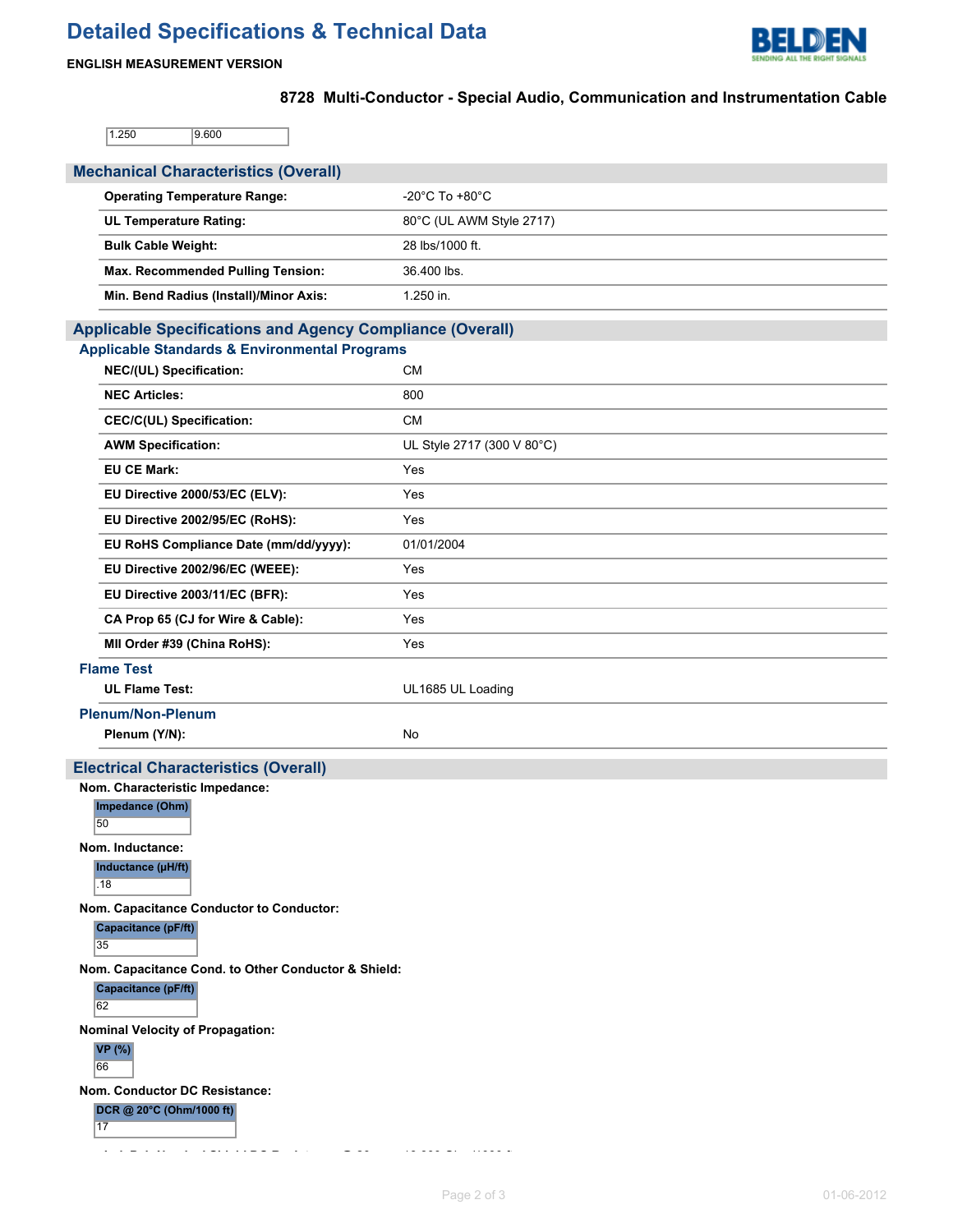# **Detailed Specifications & Technical Data**



## **ENGLISH MEASUREMENT VERSION**

# **8728 Multi-Conductor - Special Audio, Communication and Instrumentation Cable**

 $1.250$  9.600

| <b>Mechanical Characteristics (Overall)</b>                                             |                                      |
|-----------------------------------------------------------------------------------------|--------------------------------------|
| <b>Operating Temperature Range:</b>                                                     | -20 $^{\circ}$ C To +80 $^{\circ}$ C |
| <b>UL Temperature Rating:</b>                                                           | 80°C (UL AWM Style 2717)             |
| <b>Bulk Cable Weight:</b>                                                               | 28 lbs/1000 ft.                      |
| Max. Recommended Pulling Tension:                                                       | 36.400 lbs.                          |
| Min. Bend Radius (Install)/Minor Axis:                                                  | 1.250 in.                            |
| <b>Applicable Specifications and Agency Compliance (Overall)</b>                        |                                      |
| <b>Applicable Standards &amp; Environmental Programs</b>                                |                                      |
| NEC/(UL) Specification:                                                                 | <b>CM</b>                            |
| <b>NEC Articles:</b>                                                                    | 800                                  |
| <b>CEC/C(UL) Specification:</b>                                                         | <b>CM</b>                            |
| <b>AWM Specification:</b>                                                               | UL Style 2717 (300 V 80°C)           |
| <b>EU CE Mark:</b>                                                                      | Yes                                  |
| EU Directive 2000/53/EC (ELV):                                                          | Yes                                  |
| EU Directive 2002/95/EC (RoHS):                                                         | Yes                                  |
| EU RoHS Compliance Date (mm/dd/yyyy):                                                   | 01/01/2004                           |
| EU Directive 2002/96/EC (WEEE):                                                         | Yes                                  |
| EU Directive 2003/11/EC (BFR):                                                          | Yes                                  |
| CA Prop 65 (CJ for Wire & Cable):                                                       | Yes                                  |
| MII Order #39 (China RoHS):                                                             | Yes                                  |
| <b>Flame Test</b>                                                                       |                                      |
| <b>UL Flame Test:</b>                                                                   | UL1685 UL Loading                    |
| <b>Plenum/Non-Plenum</b>                                                                |                                      |
| Plenum (Y/N):                                                                           | No                                   |
| <b>Electrical Characteristics (Overall)</b>                                             |                                      |
| Nom. Characteristic Impedance:                                                          |                                      |
| Impedance (Ohm)<br>50                                                                   |                                      |
| Nom. Inductance:                                                                        |                                      |
| Inductance (µH/ft)<br>.18                                                               |                                      |
| Nom. Capacitance Conductor to Conductor:<br>Capacitance (pF/ft)<br>35                   |                                      |
| Nom. Capacitance Cond. to Other Conductor & Shield:<br><b>Capacitance (pF/ft)</b><br>62 |                                      |
| <b>Nominal Velocity of Propagation:</b><br>VP(%)<br>66                                  |                                      |
| Nom. Conductor DC Resistance:<br>DCR @ 20°C (Ohm/1000 ft)<br>17                         |                                      |